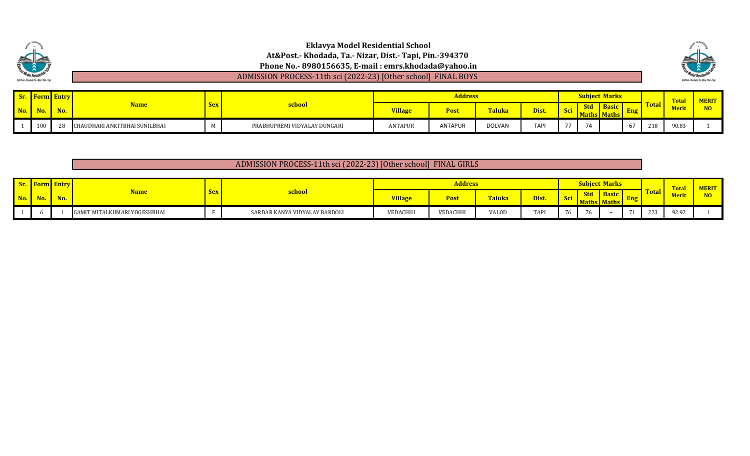

| <b>Sr.</b> Form Entry |     |                               |     |                              |                | <b>Address</b> |               |             |                 |                | bject Marks |              |              | <b>Total</b> | <b>MERIT</b>   |
|-----------------------|-----|-------------------------------|-----|------------------------------|----------------|----------------|---------------|-------------|-----------------|----------------|-------------|--------------|--------------|--------------|----------------|
| $\mathbf{No.}$        | No. | <u>Name</u>                   | Sex | <b>school</b>                | <b>Village</b> | <b>Post</b>    | <b>Taluka</b> | Dist.       | <b>Contract</b> | <b>Std</b>     | Aaths Maths |              | <u>rotar</u> | <b>Meri</b>  | N <sub>O</sub> |
| 100                   |     | HAUDHARI ANKITBHAI SUNILBHAI: |     | PRABHUPREMI VIDYALAY DUNGARI | ANTAPUR        | <b>ANTAPUR</b> | DOLVAN        | <b>TAPI</b> | 77              | $\overline{a}$ |             | $\sim$<br>6/ | 218          | 90.83        |                |

### ADMISSION PROCESS-11th sci (2022-23) [Other school] FINAL GIRLS

|                                   | <b>Sr.</b> Form Entry |     |                              |            |                               |                | <b>Address</b> |        |             |    |                         | <b>Subject Marks</b>               |    |              | <b>Total</b> | <b>MERIT</b> |
|-----------------------------------|-----------------------|-----|------------------------------|------------|-------------------------------|----------------|----------------|--------|-------------|----|-------------------------|------------------------------------|----|--------------|--------------|--------------|
| $\blacksquare$ No. $\blacksquare$ | $N_0$                 | No. | $\sqrt{ame}$                 | <b>Sex</b> | <u>school</u>                 | <b>Village</b> | Post           | Taluka | Dist.       |    | <b>Std</b><br><b>MA</b> | <b>Basic</b><br><b>BE</b><br>ratns | mg | <b>Total</b> | <b>Merit</b> | <b>MO</b>    |
|                                   |                       |     | GAMIT MITALKUMARI YOGESHBHAI |            | SARDAR KANYA VIDYALAY BARDOLI | VEDACHHI       | VEDACHHI       | VALOD  | <b>TAPI</b> | 76 |                         |                                    |    | 223          | 92.92        |              |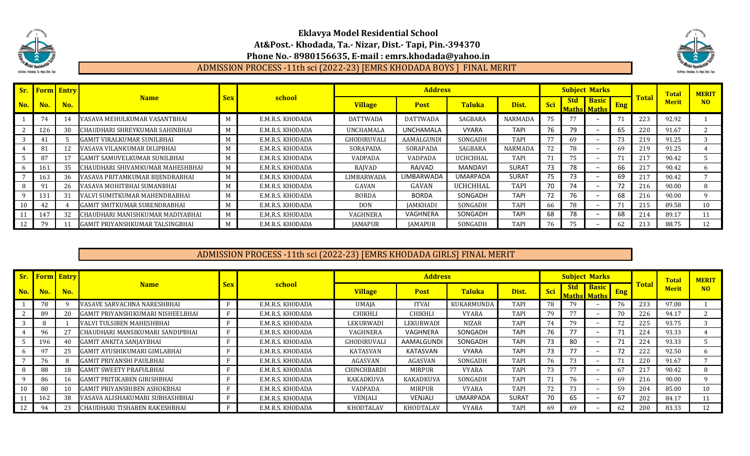



# ADMISSION PROCESS -11th sci (2022-23) [EMRS KHODADA BOYS ] FINAL MERIT

|     | <b>Sr.</b> Form Entry |     |                                     |            |                  |                 | <b>Address</b>  |                 |                |             |            | <b>Subject Marks</b>               |            |              | <b>Total</b> | <b>MERIT</b>   |
|-----|-----------------------|-----|-------------------------------------|------------|------------------|-----------------|-----------------|-----------------|----------------|-------------|------------|------------------------------------|------------|--------------|--------------|----------------|
| No. | No.                   | No. | <b>Name</b>                         | <b>Sex</b> | school           | <b>Village</b>  | <b>Post</b>     | <b>Taluka</b>   | Dist.          | <b>Sci</b>  | <b>Std</b> | <b>Basic</b><br><b>Maths Maths</b> | <b>Eng</b> | <b>Total</b> | <b>Merit</b> | N <sub>O</sub> |
|     | 74                    |     | VASAVA MEHULKUMAR VASANTBHAI        | M          | E.M.R.S. KHODADA | <b>DATTWADA</b> | <b>DATTWADA</b> | SAGBARA         | <b>NARMADA</b> |             |            |                                    | 71         | 223          | 92.92        |                |
|     | 126                   | 30  | CHAUDHARI SHREYKUMAR SAHINBHAI      | M          | E.M.R.S. KHODADA | UNCHAMALA       | UNCHAMALA       | <b>VYARA</b>    | <b>TAPI</b>    | 76          | 79         |                                    | 65         | 220          | 91.67        |                |
|     | 41                    |     | <b>GAMIT VIRALKUMAR SUNILBHAI</b>   |            | E.M.R.S. KHODADA | GHODIRUVALI     | AAMALGUNDI      | SONGADH         | <b>TAPI</b>    |             | 69         |                                    | 73         | 219          | 91.25        |                |
|     | 81                    |     | VASAVA VILANKUMAR DILIPBHAI         |            | E.M.R.S. KHODADA | SORAPADA        | SORAPADA        | SAGBARA         | <b>NARMADA</b> | 72          | 78         |                                    | 69         | 219          | 91.25        |                |
|     | 87                    |     | <b>GAMIT SAMUVELKUMAR SUNILBHAI</b> |            | E.M.R.S. KHODADA | VADPADA         | <b>VADPADA</b>  | <b>UCHCHHAL</b> | <b>TAPI</b>    | $7^{\circ}$ | 75.        |                                    | 71         | 217          | 90.42        |                |
|     | 161                   | 35  | CHAUDHARI SHIVAMKUMAR MAHESHBHAI    | M          | E.M.R.S. KHODADA | RAJVAD          | RAJVAD          | MANDAVI         | <b>SURAT</b>   | 73          | 78         | $\overline{\phantom{0}}$           | 66         | 217          | 90.42        |                |
|     | 163                   | 36  | VASAVA PRITAMKUMAR BIJENDRABHAI     | M          | E.M.R.S. KHODADA | LIMBARWADA      | LIMBARWADA      | <b>UMARPADA</b> | <b>SURAT</b>   | 75          | 73         |                                    | 69         | 217          | 90.42        |                |
|     | 91                    | 26  | VASAVA MOHITBHAI SUMANBHAI          |            | E.M.R.S. KHODADA | GAVAN           | GAVAN           | UCHCHHAL        | <b>TAPI</b>    | 70          | 74         |                                    | 72         | 216          | 90.00        |                |
|     | 131                   | -31 | VALVI SUMITKUMAR MAHENDRABHAI       | M          | E.M.R.S. KHODADA | <b>BORDA</b>    | <b>BORDA</b>    | SONGADH         | <b>TAPI</b>    | 72          | 76         |                                    | 68         | 216          | 90.00        |                |
|     | 42                    |     | <b>GAMIT SMITKUMAR SURENDRABHAI</b> |            | E.M.R.S. KHODADA | <b>DON</b>      | IAMKHADI        | SONGADH         | <b>TAPI</b>    | 66          | 78         |                                    |            | 215          | 89.58        | 10             |
|     | 147                   | 32  | CHAUDHARI MANISHKUMAR MADIYABHAI    | M          | E.M.R.S. KHODADA | VAGHNERA        | VAGHNERA        | SONGADH         | <b>TAPI</b>    | 68          | 78         |                                    | 68         | 214          | 89.17        | 11             |
|     | 79                    |     | GAMIT PRIYANSHKUMAR TALSINGBHAI     | M          | E.M.R.S. KHODADA | <b>IAMAPUR</b>  | <b>IAMAPUR</b>  | SONGADH         | <b>TAPI</b>    | 76          | 75.        | $\overline{\phantom{0}}$           | 62         |              | 88.75        | 12             |

### ADMISSION PROCESS -11th sci (2022-23) [EMRS KHODADA GIRLS] FINAL MERIT

|     |     | <b>Sr.</b> Form Entry |                                     |              |                  |                    | <b>Address</b>   |                 |              |     |            | <b>Subject Marks</b>     |            |              | <b>Total</b> | <b>MERIT</b>    |
|-----|-----|-----------------------|-------------------------------------|--------------|------------------|--------------------|------------------|-----------------|--------------|-----|------------|--------------------------|------------|--------------|--------------|-----------------|
| No. | No. | No.                   | <b>Name</b>                         | <b>Sex</b>   | school           | <b>Village</b>     | <b>Post</b>      | <b>Taluka</b>   | Dist.        | Sci | <b>Std</b> | <b>Basic</b>             | <b>Eng</b> | <b>Total</b> | <b>Merit</b> | N <sub>O</sub>  |
|     |     |                       | VASAVE SARVACHNA NARESHBHAI         |              | E.M.R.S. KHODADA | UMAJA              | <b>ITVAI</b>     | KUKARMUNDA      | <b>TAPI</b>  | 78  | 79         | $\overline{\phantom{0}}$ | 76         | 233          | 97.08        |                 |
|     | 89  | 20                    | GAMIT PRIYANSHIKUMARI NISHEELBHAI   | $\mathbf{r}$ | E.M.R.S. KHODADA | <b>CHIKHLI</b>     | <b>CHIKHLI</b>   | VYARA           | <b>TAPI</b>  | 79  |            | $\overline{\phantom{a}}$ |            | 226          | 94.17        |                 |
|     | 8   |                       | VALVI TULSIBEN MAHESHBHAI           |              | E.M.R.S. KHODADA | LEKURWADI          | LEKURWADI        | <b>NIZAR</b>    | <b>TAPI</b>  | 74  | 79         | $\overline{\phantom{0}}$ | 72         | 225          | 93.75        |                 |
|     |     | 27                    | CHAUDHARI MANSIKUMARI SANDIPBHAI    |              | E.M.R.S. KHODADA | VAGHNERA           | VAGHNERA         | SONGADH         | <b>TAPI</b>  | 76  |            | $\overline{\phantom{a}}$ |            | 224          | 93.33        |                 |
|     | 196 | 40                    | <b>GAMIT ANKITA SANJAYBHAI</b>      |              | E.M.R.S. KHODADA | GHODIRUVALI        | AAMALGUNDI       | SONGADH         | <b>TAPI</b>  | 73  | 80         | $\overline{\phantom{0}}$ |            | 224          | 93.33        |                 |
|     |     |                       | GAMIT AYUSHIKUMARI GIMLABHAI        |              | E.M.R.S. KHODADA | KATASVAN           | KATASVAN         | <b>VYARA</b>    | <b>TAPI</b>  | 73  |            | $\overline{\phantom{a}}$ | 72         | 222          | 92.50        |                 |
|     | 76  |                       | GAMIT PRIYANSHI PAULBHAI            |              | E.M.R.S. KHODADA | AGASVAN            | AGASVAN          | SONGADH         | <b>TAPI</b>  | 76  | 73         | $\overline{\phantom{a}}$ |            | 220          | 91.67        |                 |
|     | 88  | 18                    | <b>GAMIT SWEETY PRAFULBHAI</b>      |              | E.M.R.S. KHODADA | <b>CHINCHBARDI</b> | <b>MIRPUR</b>    | VYARA           | <b>TAPI</b>  | 73  | 77         | $\overline{\phantom{a}}$ | 67         | 217          | 90.42        |                 |
|     | 86  | 16                    | GAMIT PRITIKABEN GIRISHBHAI         |              | E.M.R.S. KHODADA | <b>KAKADKUVA</b>   | <b>KAKADKUVA</b> | SONGADH         | <b>TAPI</b>  | 71  | 76         | $\overline{\phantom{0}}$ | 69         | 216          | 90.00        |                 |
| 10  | 80  | 10                    | <b>GAMIT PRIYANSHIBEN ASHOKBHAI</b> |              | E.M.R.S. KHODADA | VADPADA            | <b>MIRPUR</b>    | <b>VYARA</b>    | <b>TAPI</b>  | 72  | 73         | $\overline{\phantom{0}}$ | 59         | 204          | 85.00        | 10 <sup>1</sup> |
|     | 162 | 38                    | VASAVA ALISHAKUMARI SUBHASHBHAI     | D            | E.M.R.S. KHODADA | VENJALI            | <b>VENJALI</b>   | <b>UMARPADA</b> | <b>SURAT</b> | 70  | 65         | $\overline{\phantom{0}}$ | 67         | 202          | 84.17        |                 |
|     | 94  | 23                    | CHAUDHARI TISHABEN RAKESHBHAI       |              | E.M.R.S. KHODADA | <b>KHODTALAV</b>   | KHODTALAV        | VYARA           | <b>TAPI</b>  | 69  | 69         | $\overline{\phantom{a}}$ | 62         | 200          | 83.33        | 12              |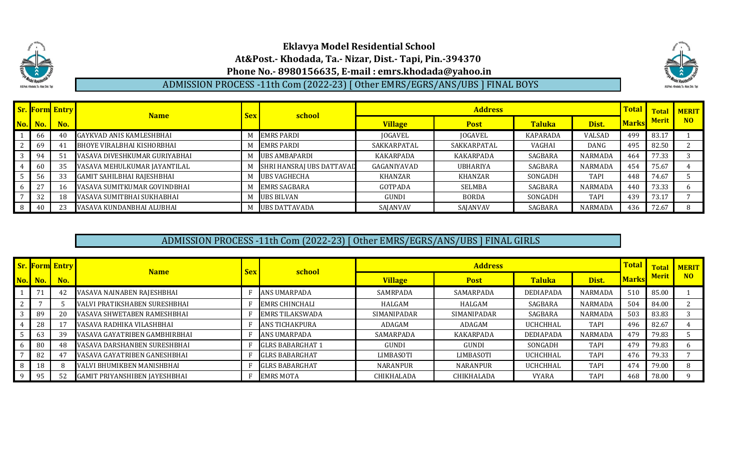

ADMISSION PROCESS -11th Com (2022-23) [ Other EMRS/EGRS/ANS/UBS ] FINAL BOYS



|                |         | <b>Sr. Form Entry</b> | <b>Name</b>                     | <b>Sex</b> | school                    |                | <b>Address</b>  |                 |                | <b>Total</b> | <b>Total</b> | <b>MERIT</b> |
|----------------|---------|-----------------------|---------------------------------|------------|---------------------------|----------------|-----------------|-----------------|----------------|--------------|--------------|--------------|
|                | No. No. | No.                   |                                 |            |                           | <b>Village</b> | <b>Post</b>     | <b>Taluka</b>   | Dist.          | <b>Marks</b> | <b>Merit</b> | <b>NO</b>    |
|                | 66      | 40                    | <b>GAYKVAD ANIS KAMLESHBHAI</b> |            | <b>EMRS PARDI</b>         | JOGAVEL        | JOGAVEL         | <b>KAPARADA</b> | VALSAD         | 499          | 83.17        |              |
| $\overline{2}$ | -69     | 41                    | BHOYE VIRALBHAI KISHORBHAI      |            | <b>EMRS PARDI</b>         | SAKKARPATAL    | SAKKARPATAL     | <b>VAGHAI</b>   | DANG           | 495          | 82.50        |              |
| $\sqrt{3}$     | 94      | 51                    | VASAVA DIVESHKUMAR GURIYABHAI   |            | <b>UBS AMBAPARDI</b>      | KAKARPADA      | KAKARPADA       | SAGBARA         | <b>NARMADA</b> | 464          | 77.33        |              |
| 41             | -60     | 35                    | VASAVA MEHULKUMAR JAYANTILAL    |            | SHRI HANSRAJ UBS DATTAVAD | GAGANIYAVAD    | <b>UBHARIYA</b> | SAGBARA         | <b>NARMADA</b> | 454          | 75.67        |              |
| l 5            | 56      | 33                    | GAMIT SAHILBHAI RAJESHBHAI      |            | UBS VAGHECHA              | KHANZAR        | KHANZAR         | SONGADH         | <b>TAPI</b>    | 448          | 74.67        |              |
|                | 27      | 16                    | VASAVA SUMITKUMAR GOVINDBHAI    |            | <b>EMRS SAGBARA</b>       | GOTPADA        | SELMBA          | SAGBARA         | <b>NARMADA</b> | 440          | 73.33        |              |
|                | 32      | 18                    | VASAVA SUMITBHAI SUKHABHAI      |            | <b>UBS BILVAN</b>         | <b>GUNDI</b>   | <b>BORDA</b>    | SONGADH         | <b>TAPI</b>    | 439          | 73.17        |              |
| 8 <sup>1</sup> | 40      | 23                    | VASAVA KUNDANBHAI ALUBHAI       |            | <b>UBS DATTAVADA</b>      | SAJANVAV       | SAJANVAV        | SAGBARA         | <b>NARMADA</b> | 436          | 72.67        |              |

## ADMISSION PROCESS -11th Com (2022-23) [ Other EMRS/EGRS/ANS/UBS ] FINAL GIRLS

|                | <b>Sr. Form Entry</b> | <b>Name</b>                          | <b>Sex</b> | school                  |                  | <b>Address</b>  |                  |                | <b>Total</b> | <b>Total</b> | <b>MERIT</b>   |
|----------------|-----------------------|--------------------------------------|------------|-------------------------|------------------|-----------------|------------------|----------------|--------------|--------------|----------------|
| <b>No.</b> No. | No.                   |                                      |            |                         | <b>Village</b>   | <b>Post</b>     | <b>Taluka</b>    | Dist.          | <b>Marks</b> | <b>Merit</b> | N <sub>O</sub> |
|                | 42                    | VASAVA NAINABEN RAJESHBHAI           |            | <b>ANS UMARPADA</b>     | SAMRPADA         | SAMARPADA       | <b>DEDIAPADA</b> | <b>NARMADA</b> | 510          | 85.00        |                |
|                |                       | VALVI PRATIKSHABEN SURESHBHAI        |            | <b>EMRS CHINCHALI</b>   | HALGAM           | HALGAM          | SAGBARA          | <b>NARMADA</b> | 504          | 84.00        |                |
| 89             | 20                    | VASAVA SHWETABEN RAMESHBHAI          |            | <b>EMRS TILAKSWADA</b>  | SIMANIPADAR      | SIMANIPADAR     | SAGBARA          | <b>NARMADA</b> | 503          | 83.83        |                |
| 28             | 17                    | VASAVA RADHIKA VILASHBHAI            |            | ANS TICHAKPURA          | ADAGAM           | ADAGAM          | <b>UCHCHHAL</b>  | <b>TAPI</b>    | 496          | 82.67        |                |
|                | 39                    | VASAVA GAYATRIBEN GAMBHIRBHAI        |            | ANS UMARPADA            | SAMARPADA        | KAKARPADA       | DEDIAPADA        | <b>NARMADA</b> | 479          | 79.83        |                |
| 80             | 48                    | VASAVA DARSHANBEN SURESHBHAI         |            | <b>GLRS BABARGHAT 1</b> | GUNDI            | <b>GUNDI</b>    | SONGADH          | <b>TAPI</b>    | 479          | 79.83        |                |
| -82            | 47                    | VASAVA GAYATRIBEN GANESHBHAI         |            | <b>GLRS BABARGHAT</b>   | <b>LIMBASOTI</b> | LIMBASOTI       | <b>UCHCHHAL</b>  | <b>TAPI</b>    | 476          | 79.33        |                |
| 18             | 8                     | VALVI BHUMIKBEN MANISHBHAI           |            | <b>GLRS BABARGHAT</b>   | NARANPUR         | <b>NARANPUR</b> | <b>UCHCHHAL</b>  | <b>TAPI</b>    | 474          | 79.00        |                |
| 95             | 52                    | <b>GAMIT PRIYANSHIBEN JAYESHBHAI</b> |            | <b>EMRS MOTA</b>        | CHIKHALADA       | CHIKHALADA      | <b>VYARA</b>     | <b>TAPI</b>    | 468          | 78.00        | $\Omega$       |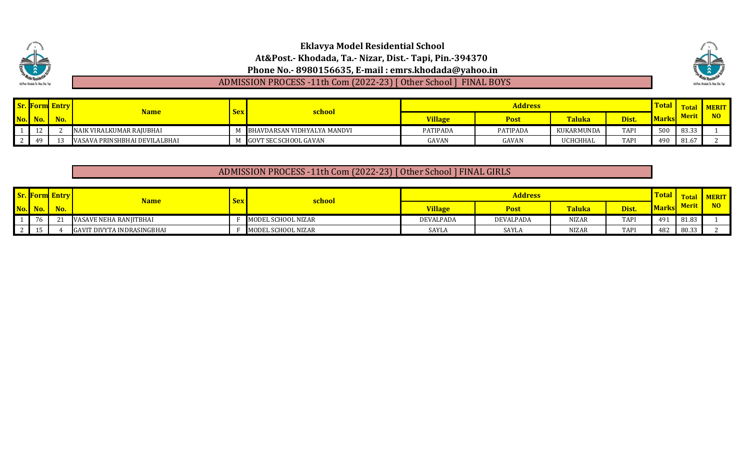

ADMISSION PROCESS -11th Com (2022-23) [ Other School ] FINAL BOYS



|                                   |                    | <b>Sr. Form Entry</b> | <u>Name</u>                   |     |                              |                 | Address         |            |             | <u>Total</u> |              | <b>MERIT</b> |
|-----------------------------------|--------------------|-----------------------|-------------------------------|-----|------------------------------|-----------------|-----------------|------------|-------------|--------------|--------------|--------------|
| No.                               |                    | No.                   |                               | sex | <u>school</u>                | <b>Village</b>  | Post            | Taluka     | Dist.       | <b>Marks</b> | <b>Merit</b> | NO           |
| $\begin{array}{cc} 1 \end{array}$ |                    |                       | NAIK VIRALKUMAR RAIUBHAI      |     | BHAVDARSAN VIDHYALYA MANDVI  | <b>PATIPADA</b> | <b>PATIPADA</b> | KUKARMUNDA | <b>TAPI</b> |              | 83.33        |              |
| $\vert$ 2                         | $\Lambda$ $\Omega$ |                       | VASAVA PRINSHBHAI DEVILALBHAI |     | <b>GOVT SEC SCHOOL GAVAN</b> | GAVAN           | GAVAN           | UCHCHHAL   | <b>TAPI</b> |              | 81.67        |              |

### ADMISSION PROCESS -11th Com (2022-23) [ Other School ] FINAL GIRLS

|                    | <b>Form Entry</b> | Name                       | <b>Sex</b> | school             |                | <b>Address</b> |               |             | <b>Total</b> | <b>Total</b> | <b>AERIT</b> |
|--------------------|-------------------|----------------------------|------------|--------------------|----------------|----------------|---------------|-------------|--------------|--------------|--------------|
| No. No.            | No.               |                            |            |                    | <b>Village</b> | <b>Post</b>    | <b>Taluka</b> | Dist.       | <b>Marks</b> | <b>Merit</b> |              |
| 76                 |                   | VASAVE NEHA RANJITBHAI     |            | MODEL SCHOOL NIZAR | DEVALPADA      | DEVALPADA      | <b>NIZAR</b>  | <b>TAPI</b> | 491          | 81.83        |              |
| $-1\Gamma$<br>- 11 |                   | GAVIT DIVYTA INDRASINGBHAI |            | MODEL SCHOOL NIZAR | SAYLA          | SAYLA          | <b>NIZAR</b>  | <b>TAPI</b> | 482          | 80.33        |              |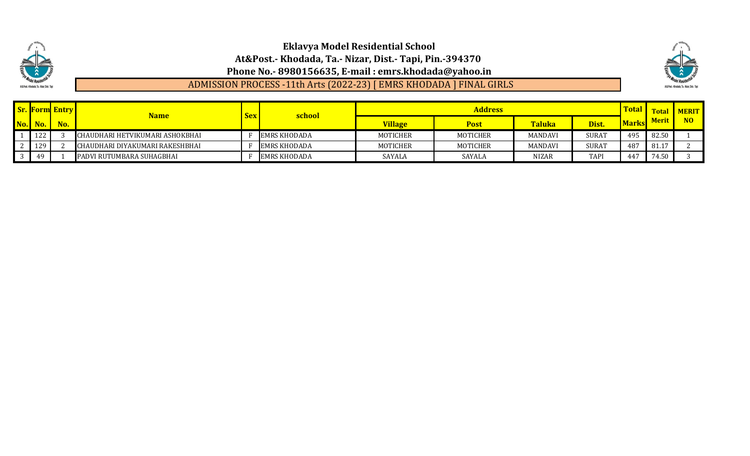

ADMISSION PROCESS -11th Arts (2022-23) [ EMRS KHODADA ] FINAL GIRLS



|                             | <b>Sr. Form Entry</b> | <b>Name</b>                      | <b>Sex</b> | school              |                | <b>Address</b>  |                |              | Tota.        | Total        | <b>MERIT</b> |
|-----------------------------|-----------------------|----------------------------------|------------|---------------------|----------------|-----------------|----------------|--------------|--------------|--------------|--------------|
| $\overline{\text{No.}}$ No. | No.                   |                                  |            |                     | <b>Village</b> | <b>Post</b>     | <b>Taluka</b>  | Dist.        | <b>Marks</b> | <b>Merit</b> | NO           |
| $\vert$ 122                 |                       | ICHAUDHARI HETVIKUMARI ASHOKBHAI |            | <b>EMRS KHODADA</b> | MOTICHER       | MOTICHER        | <b>MANDAVI</b> | <b>SURAT</b> | 495          | 82.50        |              |
| $2 \mid 129$                |                       | ICHAUDHARI DIYAKUMARI RAKESHBHAI |            | <b>EMRS KHODADA</b> | MOTICHER       | <b>MOTICHER</b> | <b>MANDAVI</b> | <b>SURAT</b> | 487          | 81.17        |              |
| 49                          |                       | PADVI RUTUMBARA SUHAGBHAI        |            | <b>EMRS KHODADA</b> | <b>SAYALA</b>  | SAYALA          | NIZAR          | <b>TAPI</b>  | 447          | 74.50        |              |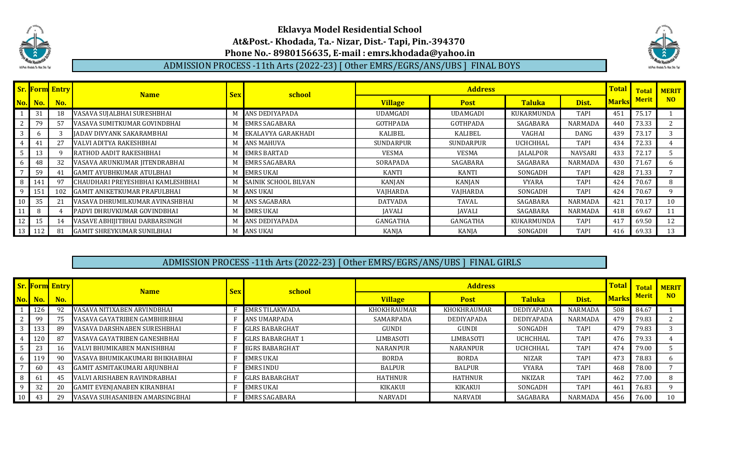



### ADMISSION PROCESS -11th Arts (2022-23) [ Other EMRS/EGRS/ANS/UBS ] FINAL BOYS

|                                       |        | <b>Sr. Form Entry</b> | <b>Name</b>                         | <b>Sex</b> | school                      |                 | <b>Address</b>   |                 |                | <b>Total</b> | <b>Total</b> | <b>MERIT</b>   |
|---------------------------------------|--------|-----------------------|-------------------------------------|------------|-----------------------------|-----------------|------------------|-----------------|----------------|--------------|--------------|----------------|
| No.                                   | No.    | No.                   |                                     |            |                             | <b>Village</b>  | <b>Post</b>      | <b>Taluka</b>   | Dist.          | <b>Marks</b> | <b>Merit</b> | N <sub>O</sub> |
|                                       | 31     | 18                    | VASAVA SUJALBHAI SURESHBHAI         | M          | ANS DEDIYAPADA              | <b>UDAMGADI</b> | <b>UDAMGADI</b>  | KUKARMUNDA      | <b>TAPI</b>    | 451          | 75.17        |                |
| 2                                     | 79     | 57                    | VASAVA SUMITKUMAR GOVINDBHAI        |            | <b>EMRS SAGABARA</b>        | GOTHPADA        | GOTHPADA         | SAGABARA        | NARMADA        | 440          | 73.33        |                |
| $\vert$ 3                             |        |                       | JADAV DIVYANK SAKARAMBHAI           |            | EKALAVYA GARAKHADI          | KALIBEL         | KALIBEL          | VAGHAI          | DANG           | 439          | 73.17        |                |
| 4 <sup>1</sup>                        | 41     | 27                    | VALVI ADITYA RAKESHBHAI             |            | <b>ANS MAHUVA</b>           | SUNDARPUR       | <b>SUNDARPUR</b> | <b>UCHCHHAL</b> | TAPI           | 434          | 72.33        | 4              |
| $5\overline{)}$                       |        |                       | RATHOD AADIT RAKESHBHAI             |            | <b>EMRS BARTAD</b>          | <b>VESMA</b>    | <b>VESMA</b>     | <b>JALALPOR</b> | NAVSARI        | 433          | 72.17        |                |
| 6                                     | 48     | 32                    | VASAVA ARUNKUMAR JITENDRABHAI       | M          | <b>EMRS SAGABARA</b>        | SORAPADA        | SAGABARA         | SAGABARA        | NARMADA        | 430          | 71.67        | 6              |
| $\overline{7}$                        | 59     | 41                    | <b>GAMIT AYUBHKUMAR ATULBHAI</b>    |            | <b>EMRS UKAI</b>            | <b>KANTI</b>    | <b>KANTI</b>     | SONGADH         | <b>TAPI</b>    | 428          | 71.33        |                |
| 8                                     | 141    | 97                    | CHAUDHARI PREYESHBHAI KAMLESHBHAI   |            | <b>SAINIK SCHOOL BILVAN</b> | KANJAN          | KANJAN           | <b>VYARA</b>    | <b>TAPI</b>    | 424          | 70.67        | 8              |
| $\begin{array}{c} \hline \end{array}$ |        | 102                   | <b>GAMIT ANIKETKUMAR PRAFULBHAI</b> | M          | ANS UKAI                    | VAIHARDA        | VAJHARDA         | SONGADH         | <b>TAPI</b>    | 424          | 70.67        | q              |
| 10 <sup>1</sup>                       | 35     | 21                    | VASAVA DHRUMILKUMAR AVINASHBHAI     |            | <b>ANS SAGABARA</b>         | <b>DATVADA</b>  | <b>TAVAL</b>     | SAGABARA        | <b>NARMADA</b> | 421          | 70.17        | 10             |
| 11                                    |        |                       | PADVI DHRUVKUMAR GOVINDBHAI         |            | <b>EMRS UKAI</b>            | <b>JAVALI</b>   | <b>JAVALI</b>    | SAGABARA        | NARMADA        | 418          | 69.67        |                |
| 12 <sup>1</sup>                       | 15     | 14                    | VASAVE ABHIJITBHAI DARBARSINGH      | M          | ANS DEDIYAPADA              | GANGATHA        | GANGATHA         | KUKARMUNDA      | TAPI           | 417          | 69.50        | 12             |
|                                       | 13 112 | 81                    | <b>GAMIT SHREYKUMAR SUNILBHAI</b>   | M          | ANS UKAI                    | KANJA           | KANJA            | SONGADH         | <b>TAPI</b>    | 416          | 69.33        | 13             |

### ADMISSION PROCESS -11th Arts (2022-23) [ Other EMRS/EGRS/ANS/UBS ] FINAL GIRLS

|                 |                                         | <b>Sr. Form Entry</b> | <b>Name</b>                        | <b>Sex</b> | school                  |                    | <b>Address</b>  |                   |                | <b>Total</b> | <b>Total</b> | <b>MERIT</b> |
|-----------------|-----------------------------------------|-----------------------|------------------------------------|------------|-------------------------|--------------------|-----------------|-------------------|----------------|--------------|--------------|--------------|
|                 | $\bf{No.} \parallel \bf{No.} \parallel$ | No.                   |                                    |            |                         | <b>Village</b>     | <b>Post</b>     | <b>Taluka</b>     | Dist.          | <b>Marks</b> | <b>Merit</b> | NO           |
|                 | 126                                     |                       | VASAVA NITIXABEN ARVINDBHAI        |            | <b>EMRS TILAKWADA</b>   | <b>KHOKHRAUMAR</b> | KHOKHRAUMAR     | <b>DEDIYAPADA</b> | NARMADA        | 508          | 84.67        |              |
|                 | 99                                      |                       | VASAVA GAYATRIBEN GAMBHIRBHAI      |            | ANS UMARPADA            | SAMARPADA          | DEDIYAPADA      | <b>DEDIYAPADA</b> | <b>NARMADA</b> | 479          | 79.83        |              |
|                 | 133                                     | 89.                   | VASAVA DARSHNABEN SURESHBHAI       |            | <b>GLRS BABARGHAT</b>   | GUNDI              | GUNDI           | SONGADH           | <b>TAPI</b>    | 479          | 79.83        |              |
|                 | 120                                     |                       | VASAVA GAYATRIBEN GANESHBHAI       |            | <b>GLRS BABARGHAT 1</b> | <b>LIMBASOTI</b>   | LIMBASOTI       | UCHCHHAL          | <b>TAPI</b>    | 476          | 79.33        |              |
|                 | 23                                      | 16                    | VALVI BHUMIKABEN MANISHBHAI        |            | <b>EGRS BABARGHAT</b>   | NARANPUR           | <b>NARANPUR</b> | UCHCHHAL          | <b>TAPI</b>    | 474          | 79.00        |              |
|                 | 119                                     | 90.                   | VASAVA BHUMIKAKUMARI BHIKHABHAI    |            | <b>EMRS UKAI</b>        | <b>BORDA</b>       | <b>BORDA</b>    | <b>NIZAR</b>      | <b>TAPI</b>    | 473          | 78.83        | b            |
|                 |                                         | 43                    | GAMIT ASMITAKUMARI ARJUNBHAI       |            | <b>EMRS INDU</b>        | <b>BALPUR</b>      | BALPUR          | <b>VYARA</b>      | <b>TAPI</b>    | 468          | 78.00        |              |
|                 | -61                                     |                       | VALVI ARISHABEN RAVINDRABHAI       |            | <b>GLRS BABARGHAT</b>   | <b>HATHNUR</b>     | <b>HATHNUR</b>  | <b>NKIZAR</b>     | <b>TAPI</b>    | 462          | 77.00        | 8            |
|                 | 32                                      | 20                    | <b>GAMIT EVENIANABEN KIRANBHAI</b> |            | <b>EMRS UKAI</b>        | KIKAKUI            | KIKAKUI         | SONGADH           | <b>TAPI</b>    | 461          | 76.83        |              |
| 10 <sup>1</sup> | 43                                      | 29                    | VASAVA SUHASANIBEN AMARSINGBHAI    |            | <b>EMRS SAGABARA</b>    | NARVADI            | NARVADI         | SAGABARA          | NARMADA        | 456          | 76.00        | 10           |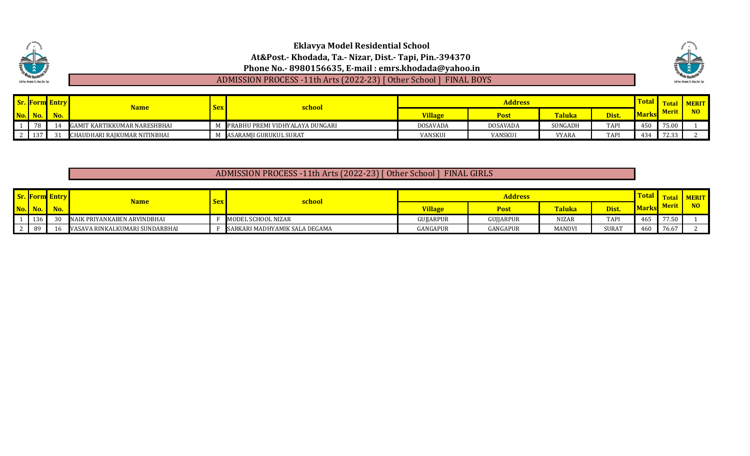|                                              | <b>Eklavya Model Residential School</b>                            |                                            |
|----------------------------------------------|--------------------------------------------------------------------|--------------------------------------------|
|                                              | At&Post.- Khodada, Ta.- Nizar, Dist.- Tapi, Pin.-394370            |                                            |
| <b>THE MODEL Residence</b>                   | Phone No. - 8980156635, E-mail: emrs.khodada@yahoo.in              |                                            |
| At & Post - Khodada, Ta.- Nizar, Dist.- Tapi | ADMISSION PROCESS -11th Arts (2022-23) [ Other School ] FINAL BOYS | At & Post - Khodada, Ta - Nizar, Dist - Ta |

| $\mathbf{C}_{\mathbf{r}}$ $\mathbf{E}_{\ell}$ |         | Entry | <b>Name</b>                  |     | <u>school</u>                   |                |             | Fota                        | <b>TERL</b> |                            |                   |  |
|-----------------------------------------------|---------|-------|------------------------------|-----|---------------------------------|----------------|-------------|-----------------------------|-------------|----------------------------|-------------------|--|
|                                               | No. No. | No.   |                              | $5$ |                                 | <b>Village</b> | <b>Post</b> | <b>CONTRACTOR</b><br>'aluka | Dist.       | <b>Meri</b><br><b>Mark</b> |                   |  |
|                                               | 78      |       | GAMIT KARTIKKUMAR NARESHBHAI |     | PRABHU PREMI VIDHYALAYA DUNGARI | DOSAVADA       | DOSAVADA    | SONGADH                     | <b>TAP</b>  | 450                        | 75.00             |  |
|                                               | نزبد    |       | CHAUDHARI RAJKUMAR NITINBHAI |     | ASARAMJI GURUKUL SURAT          | VANSKUI        | VANSKUI     | VYARA                       | <b>TAP</b>  | 434                        | 72.33<br>ر ر. ے ، |  |

# ADMISSION PROCESS -11th Arts (2022-23) [ Other School ] FINAL GIRLS

|                | <b>Sr. Form Entry</b> | <u>Name</u>                    | $\textbf{Sex}$ | <u>school</u>                 |                | <b>Total</b> | Fotal         | <b>I MERIT</b> |              |              |                |
|----------------|-----------------------|--------------------------------|----------------|-------------------------------|----------------|--------------|---------------|----------------|--------------|--------------|----------------|
| $\bf{No.}$ No. | No.                   |                                |                |                               | <b>Village</b> | Post         | <b>Taluka</b> | Dist.          | <b>Marks</b> | <b>Merit</b> | N <sub>O</sub> |
| 136            |                       | NAIK PRIYANKABEN ARVINDBHAI    |                | MODEL SCHOOL NIZAR            | GUIJARPUR      | GUJJARPUR    | <b>NIZAR</b>  | TAP.           | 465          | 77.50        |                |
|                | -16                   | VASAVA RINKALKUMARI SUNDARBHAI |                | SARKARI MADHYAMIK SALA DEGAMA | GANGAPUR       | GANGAPUR     | MANDVI        | SURAT          | A.6P         | 76.67        |                |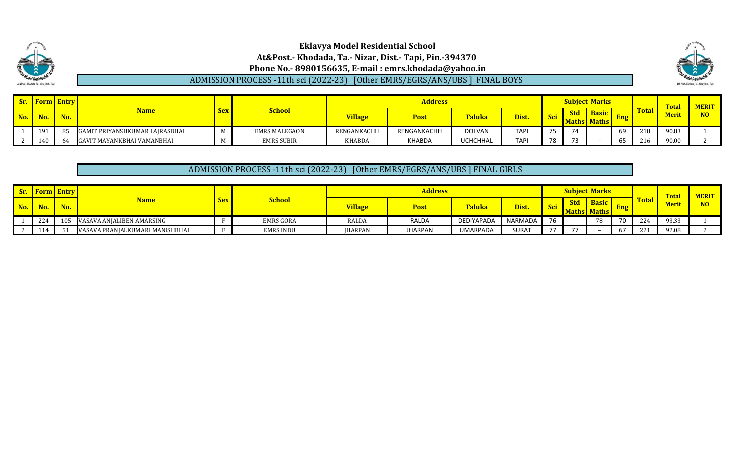### **Eklavya Model Residential School At&Post.- Khodada, Ta.- Nizar, Dist.- Tapi, Pin.-394370 Phone No.- 8980156635, E-mail : emrs.khodada@yahoo.in** ADMISSION PROCESS -11th sci (2022-23) [Other EMRS/EGRS/ANS/UBS ] FINAL BOYS



|            | <b>Form</b> Entry |     | <b>Name</b>                    | <b>School</b><br><b>Sex</b> |                | <b>Address</b> |               |                 |             |            | <b>Subject Marks</b>      |     |              |              | <b>Total</b> | <b>MERIT</b> |
|------------|-------------------|-----|--------------------------------|-----------------------------|----------------|----------------|---------------|-----------------|-------------|------------|---------------------------|-----|--------------|--------------|--------------|--------------|
| <b>No.</b> | No.               | No. |                                |                             | <b>Village</b> | Post           | <b>Taluka</b> | Dist.           |             | <b>Std</b> | <b>Basic</b><br>s   Maths | Eng | <b>Total</b> | <b>Merit</b> |              |              |
|            | 191               | 85  | GAMIT PRIYANSHKUMAR LAJRASBHAI |                             | EMRS MALEGAON  | RENGANKACHH    | RENGANKACHH   | <b>DOLVAN</b>   | <b>TAPI</b> |            | 71                        |     | 69           | 218          | 90.83        |              |
|            | 140               | 64  | GAVIT MAYANKBHAI VAMANBHAI     |                             | EMRS SUBIR     | <b>KHABDA</b>  | KHABDA        | <b>UCHCHHAL</b> | <b>TAPI</b> | 70.        | $\sim$ $\sim$             |     | 65           | 216          | 90.00        |              |

### ADMISSION PROCESS -11th sci (2022-23) [Other EMRS/EGRS/ANS/UBS ] FINAL GIRLS

|     | <b>Sr.</b> Form Entry |              | <b>Name</b>                     |            | <b>School</b>    | <b>Address</b> |         |               |         |    | <b>Subject Marks</b> |                        |    |              | Tota        | <b>AERIT</b> |
|-----|-----------------------|--------------|---------------------------------|------------|------------------|----------------|---------|---------------|---------|----|----------------------|------------------------|----|--------------|-------------|--------------|
| No. |                       | $N_{\alpha}$ |                                 | <b>Sex</b> |                  | <b>Village</b> | Post    | <b>Taluka</b> | Dist.   |    | <b>Std</b>           | <b>Basic</b><br>. I MZ |    | <b>Total</b> | <b>Meri</b> | NO.          |
|     | $44^{\circ}$          | 105          | VASAVA ANJALIBEN AMARSING       |            | <b>EMRS GORA</b> | RALDA          | RALDA   | DEDIYAPADA    | NARMADA | 76 |                      | 70.                    | 70 | 224          | 93.33       |              |
|     | 114                   |              | VASAVA PRANJALKUMARI MANISHBHAI |            | EMRS INDU        | <b>IHARPAN</b> | JHARPAN | UMARPADA      | SURAT   |    |                      |                        | b/ | $22^{\circ}$ | 92.08       |              |